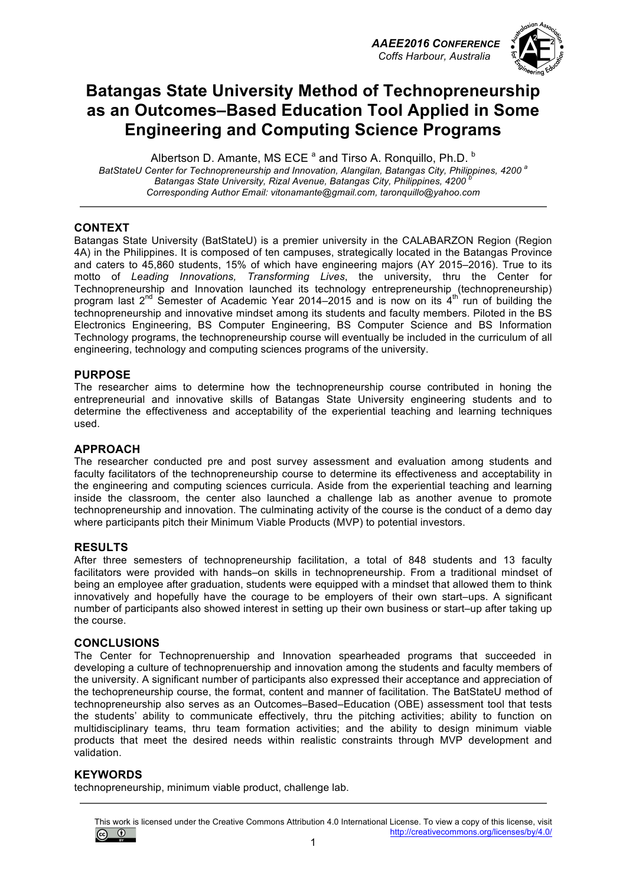*AAEE2016 CONFERENCE Coffs Harbour, Australia*



# **Batangas State University Method of Technopreneurship as an Outcomes–Based Education Tool Applied in Some Engineering and Computing Science Programs**

Albertson D. Amante, MS ECE <sup>a</sup> and Tirso A. Ronquillo, Ph.D. <sup>b</sup> *BatStateU Center for Technopreneurship and Innovation, Alangilan, Batangas City, Philippines, 4200 <sup>a</sup>* Batangas State University, Rizal Avenue, Batangas City, Philippines, 4200<sup>b</sup> *Corresponding Author Email: vitonamante@gmail.com, taronquillo@yahoo.com*

### **CONTEXT**

Batangas State University (BatStateU) is a premier university in the CALABARZON Region (Region 4A) in the Philippines. It is composed of ten campuses, strategically located in the Batangas Province and caters to 45,860 students, 15% of which have engineering majors (AY 2015–2016). True to its motto of *Leading Innovations, Transforming Lives*, the university, thru the Center for Technopreneurship and Innovation launched its technology entrepreneurship (technopreneurship) program last 2<sup>nd</sup> Semester of Academic Year 2014–2015 and is now on its 4<sup>th</sup> run of building the technopreneurship and innovative mindset among its students and faculty members. Piloted in the BS Electronics Engineering, BS Computer Engineering, BS Computer Science and BS Information Technology programs, the technopreneurship course will eventually be included in the curriculum of all engineering, technology and computing sciences programs of the university.

#### **PURPOSE**

The researcher aims to determine how the technopreneurship course contributed in honing the entrepreneurial and innovative skills of Batangas State University engineering students and to determine the effectiveness and acceptability of the experiential teaching and learning techniques used.

### **APPROACH**

The researcher conducted pre and post survey assessment and evaluation among students and faculty facilitators of the technopreneurship course to determine its effectiveness and acceptability in the engineering and computing sciences curricula. Aside from the experiential teaching and learning inside the classroom, the center also launched a challenge lab as another avenue to promote technopreneurship and innovation. The culminating activity of the course is the conduct of a demo day where participants pitch their Minimum Viable Products (MVP) to potential investors.

#### **RESULTS**

After three semesters of technopreneurship facilitation, a total of 848 students and 13 faculty facilitators were provided with hands–on skills in technopreneurship. From a traditional mindset of being an employee after graduation, students were equipped with a mindset that allowed them to think innovatively and hopefully have the courage to be employers of their own start–ups. A significant number of participants also showed interest in setting up their own business or start–up after taking up the course.

#### **CONCLUSIONS**

The Center for Technoprenuership and Innovation spearheaded programs that succeeded in developing a culture of technoprenuership and innovation among the students and faculty members of the university. A significant number of participants also expressed their acceptance and appreciation of the techopreneurship course, the format, content and manner of facilitation. The BatStateU method of technopreneurship also serves as an Outcomes–Based–Education (OBE) assessment tool that tests the students' ability to communicate effectively, thru the pitching activities; ability to function on multidisciplinary teams, thru team formation activities; and the ability to design minimum viable products that meet the desired needs within realistic constraints through MVP development and validation.

#### **KEYWORDS**

technopreneurship, minimum viable product, challenge lab.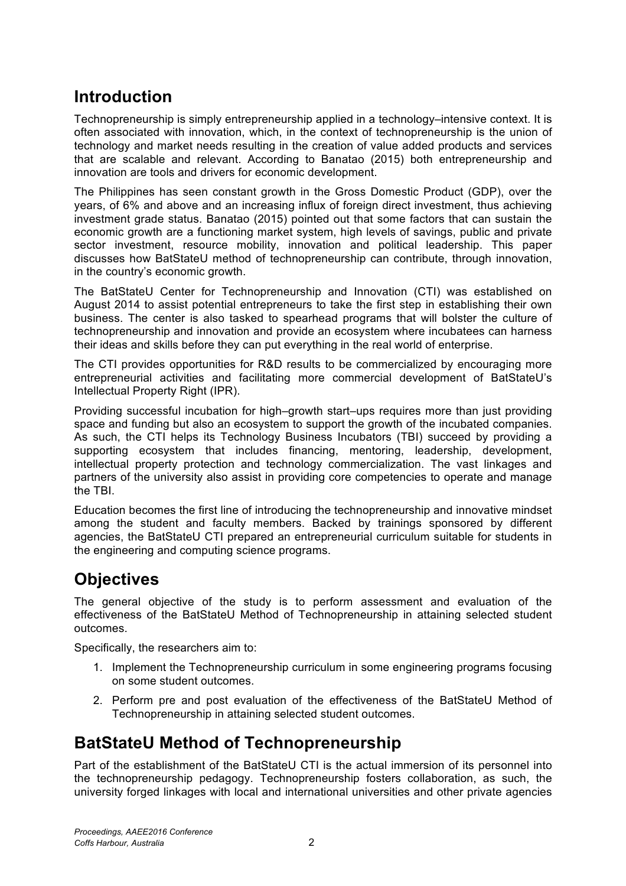# **Introduction**

Technopreneurship is simply entrepreneurship applied in a technology–intensive context. It is often associated with innovation, which, in the context of technopreneurship is the union of technology and market needs resulting in the creation of value added products and services that are scalable and relevant. According to Banatao (2015) both entrepreneurship and innovation are tools and drivers for economic development.

The Philippines has seen constant growth in the Gross Domestic Product (GDP), over the years, of 6% and above and an increasing influx of foreign direct investment, thus achieving investment grade status. Banatao (2015) pointed out that some factors that can sustain the economic growth are a functioning market system, high levels of savings, public and private sector investment, resource mobility, innovation and political leadership. This paper discusses how BatStateU method of technopreneurship can contribute, through innovation, in the country's economic growth.

The BatStateU Center for Technopreneurship and Innovation (CTI) was established on August 2014 to assist potential entrepreneurs to take the first step in establishing their own business. The center is also tasked to spearhead programs that will bolster the culture of technopreneurship and innovation and provide an ecosystem where incubatees can harness their ideas and skills before they can put everything in the real world of enterprise.

The CTI provides opportunities for R&D results to be commercialized by encouraging more entrepreneurial activities and facilitating more commercial development of BatStateU's Intellectual Property Right (IPR).

Providing successful incubation for high–growth start–ups requires more than just providing space and funding but also an ecosystem to support the growth of the incubated companies. As such, the CTI helps its Technology Business Incubators (TBI) succeed by providing a supporting ecosystem that includes financing, mentoring, leadership, development, intellectual property protection and technology commercialization. The vast linkages and partners of the university also assist in providing core competencies to operate and manage the TBI.

Education becomes the first line of introducing the technopreneurship and innovative mindset among the student and faculty members. Backed by trainings sponsored by different agencies, the BatStateU CTI prepared an entrepreneurial curriculum suitable for students in the engineering and computing science programs.

# **Objectives**

The general objective of the study is to perform assessment and evaluation of the effectiveness of the BatStateU Method of Technopreneurship in attaining selected student outcomes.

Specifically, the researchers aim to:

- 1. Implement the Technopreneurship curriculum in some engineering programs focusing on some student outcomes.
- 2. Perform pre and post evaluation of the effectiveness of the BatStateU Method of Technopreneurship in attaining selected student outcomes.

# **BatStateU Method of Technopreneurship**

Part of the establishment of the BatStateU CTI is the actual immersion of its personnel into the technopreneurship pedagogy. Technopreneurship fosters collaboration, as such, the university forged linkages with local and international universities and other private agencies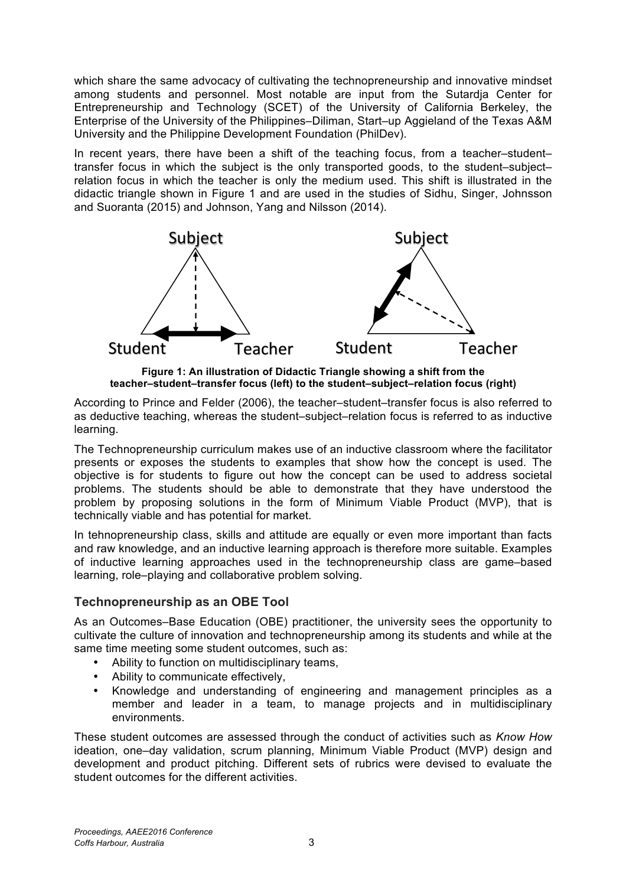which share the same advocacy of cultivating the technopreneurship and innovative mindset among students and personnel. Most notable are input from the Sutardja Center for Entrepreneurship and Technology (SCET) of the University of California Berkeley, the Enterprise of the University of the Philippines–Diliman, Start–up Aggieland of the Texas A&M University and the Philippine Development Foundation (PhilDev).

In recent years, there have been a shift of the teaching focus, from a teacher–student– transfer focus in which the subject is the only transported goods, to the student–subject– relation focus in which the teacher is only the medium used. This shift is illustrated in the didactic triangle shown in Figure 1 and are used in the studies of Sidhu, Singer, Johnsson and Suoranta (2015) and Johnson, Yang and Nilsson (2014).



**Figure 1: An illustration of Didactic Triangle showing a shift from the teacher–student–transfer focus (left) to the student–subject–relation focus (right)** 

According to Prince and Felder (2006), the teacher–student–transfer focus is also referred to as deductive teaching, whereas the student–subject–relation focus is referred to as inductive learning.

The Technopreneurship curriculum makes use of an inductive classroom where the facilitator presents or exposes the students to examples that show how the concept is used. The objective is for students to figure out how the concept can be used to address societal problems. The students should be able to demonstrate that they have understood the problem by proposing solutions in the form of Minimum Viable Product (MVP), that is technically viable and has potential for market.

In tehnopreneurship class, skills and attitude are equally or even more important than facts and raw knowledge, and an inductive learning approach is therefore more suitable. Examples of inductive learning approaches used in the technopreneurship class are game–based learning, role–playing and collaborative problem solving.

## **Technopreneurship as an OBE Tool**

As an Outcomes–Base Education (OBE) practitioner, the university sees the opportunity to cultivate the culture of innovation and technopreneurship among its students and while at the same time meeting some student outcomes, such as:

- Ability to function on multidisciplinary teams,
- Ability to communicate effectively,
- Knowledge and understanding of engineering and management principles as a member and leader in a team, to manage projects and in multidisciplinary environments.

These student outcomes are assessed through the conduct of activities such as *Know How* ideation, one–day validation, scrum planning, Minimum Viable Product (MVP) design and development and product pitching. Different sets of rubrics were devised to evaluate the student outcomes for the different activities.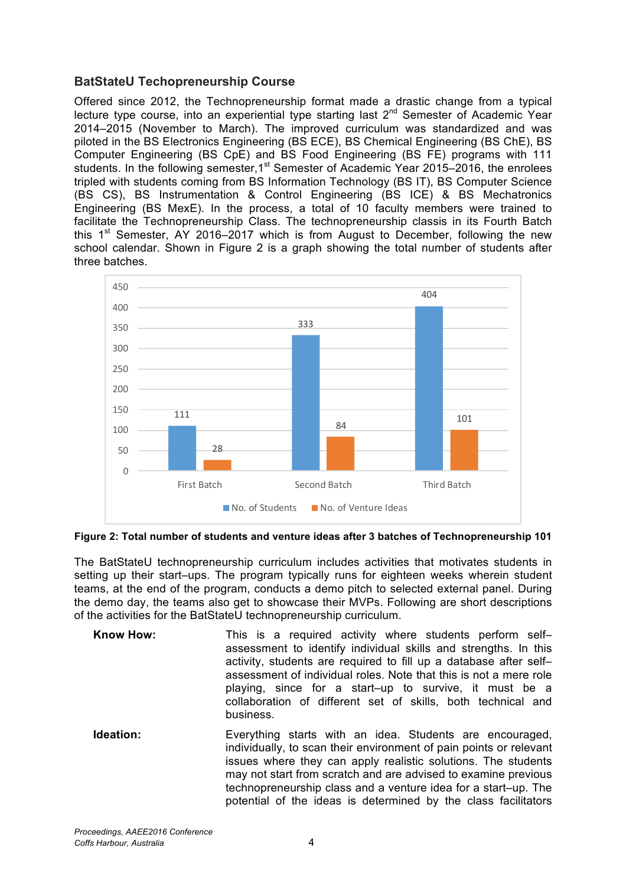## **BatStateU Techopreneurship Course**

Offered since 2012, the Technopreneurship format made a drastic change from a typical lecture type course, into an experiential type starting last  $2^{nd}$  Semester of Academic Year 2014–2015 (November to March). The improved curriculum was standardized and was piloted in the BS Electronics Engineering (BS ECE), BS Chemical Engineering (BS ChE), BS Computer Engineering (BS CpE) and BS Food Engineering (BS FE) programs with 111 students. In the following semester, 1<sup>st</sup> Semester of Academic Year 2015–2016, the enrolees tripled with students coming from BS Information Technology (BS IT), BS Computer Science (BS CS), BS Instrumentation & Control Engineering (BS ICE) & BS Mechatronics Engineering (BS MexE). In the process, a total of 10 faculty members were trained to facilitate the Technopreneurship Class. The technopreneurship classis in its Fourth Batch this  $1<sup>st</sup>$  Semester, AY 2016–2017 which is from August to December, following the new school calendar. Shown in Figure 2 is a graph showing the total number of students after three batches.



**Figure 2: Total number of students and venture ideas after 3 batches of Technopreneurship 101**

The BatStateU technopreneurship curriculum includes activities that motivates students in setting up their start–ups. The program typically runs for eighteen weeks wherein student teams, at the end of the program, conducts a demo pitch to selected external panel. During the demo day, the teams also get to showcase their MVPs. Following are short descriptions of the activities for the BatStateU technopreneurship curriculum.

- **Know How:** This is a required activity where students perform self– assessment to identify individual skills and strengths. In this activity, students are required to fill up a database after self– assessment of individual roles. Note that this is not a mere role playing, since for a start–up to survive, it must be a collaboration of different set of skills, both technical and business.
- **Ideation:** Everything starts with an idea. Students are encouraged, individually, to scan their environment of pain points or relevant issues where they can apply realistic solutions. The students may not start from scratch and are advised to examine previous technopreneurship class and a venture idea for a start–up. The potential of the ideas is determined by the class facilitators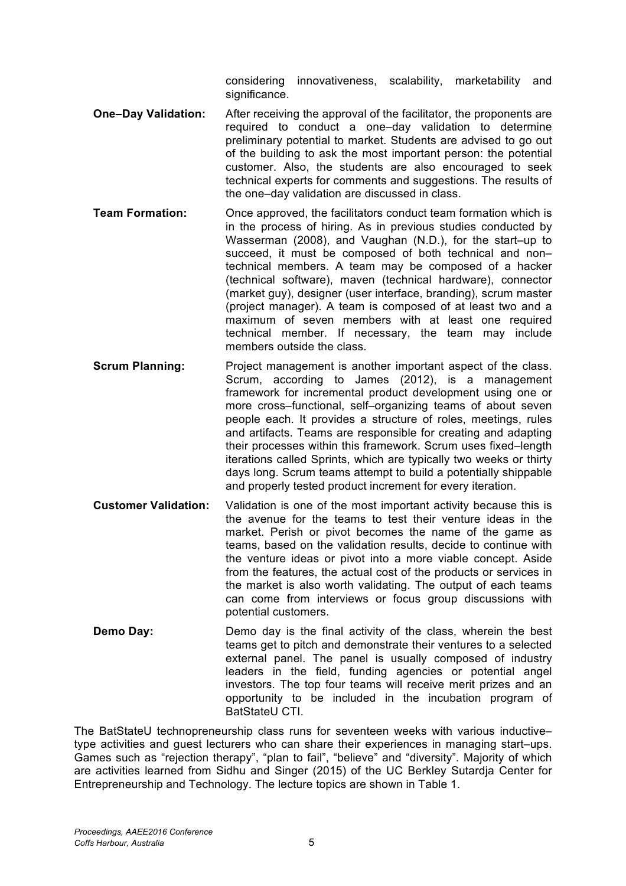considering innovativeness, scalability, marketability and significance.

- **One–Day Validation:** After receiving the approval of the facilitator, the proponents are required to conduct a one–day validation to determine preliminary potential to market. Students are advised to go out of the building to ask the most important person: the potential customer. Also, the students are also encouraged to seek technical experts for comments and suggestions. The results of the one–day validation are discussed in class.
- **Team Formation:** Once approved, the facilitators conduct team formation which is in the process of hiring. As in previous studies conducted by Wasserman (2008), and Vaughan (N.D.), for the start–up to succeed, it must be composed of both technical and nontechnical members. A team may be composed of a hacker (technical software), maven (technical hardware), connector (market guy), designer (user interface, branding), scrum master (project manager). A team is composed of at least two and a maximum of seven members with at least one required technical member. If necessary, the team may include members outside the class.
- **Scrum Planning:** Project management is another important aspect of the class. Scrum, according to James (2012), is a management framework for incremental product development using one or more cross–functional, self–organizing teams of about seven people each. It provides a structure of roles, meetings, rules and artifacts. Teams are responsible for creating and adapting their processes within this framework. Scrum uses fixed–length iterations called Sprints, which are typically two weeks or thirty days long. Scrum teams attempt to build a potentially shippable and properly tested product increment for every iteration.
- **Customer Validation:** Validation is one of the most important activity because this is the avenue for the teams to test their venture ideas in the market. Perish or pivot becomes the name of the game as teams, based on the validation results, decide to continue with the venture ideas or pivot into a more viable concept. Aside from the features, the actual cost of the products or services in the market is also worth validating. The output of each teams can come from interviews or focus group discussions with potential customers.
- **Demo Day:** Demo day is the final activity of the class, wherein the best teams get to pitch and demonstrate their ventures to a selected external panel. The panel is usually composed of industry leaders in the field, funding agencies or potential angel investors. The top four teams will receive merit prizes and an opportunity to be included in the incubation program of BatStateU CTI.

The BatStateU technopreneurship class runs for seventeen weeks with various inductive– type activities and guest lecturers who can share their experiences in managing start–ups. Games such as "rejection therapy", "plan to fail", "believe" and "diversity". Majority of which are activities learned from Sidhu and Singer (2015) of the UC Berkley Sutardja Center for Entrepreneurship and Technology. The lecture topics are shown in Table 1.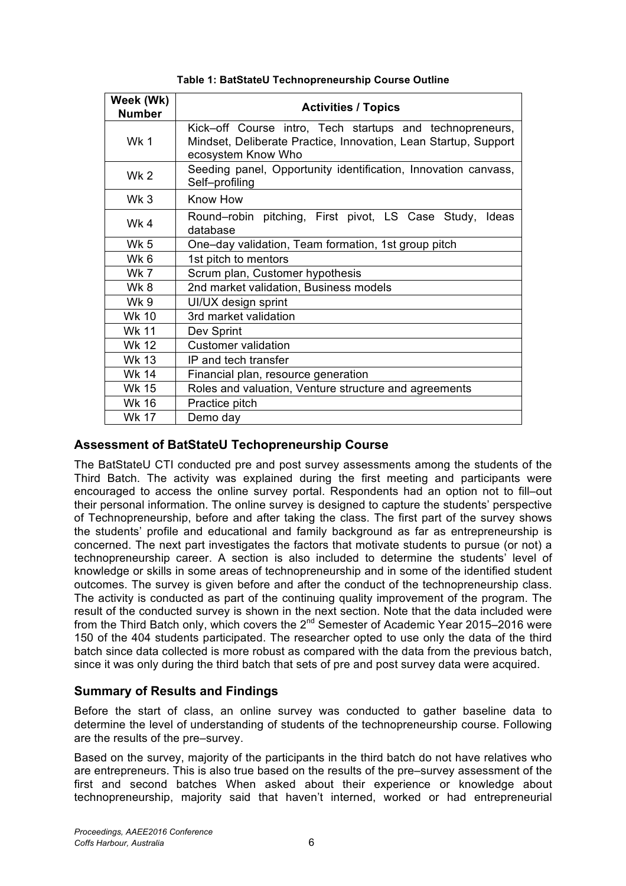| Week (Wk)<br><b>Number</b> | <b>Activities / Topics</b>                                                                                                                        |
|----------------------------|---------------------------------------------------------------------------------------------------------------------------------------------------|
| <b>Wk 1</b>                | Kick-off Course intro, Tech startups and technopreneurs,<br>Mindset, Deliberate Practice, Innovation, Lean Startup, Support<br>ecosystem Know Who |
| Wk <sub>2</sub>            | Seeding panel, Opportunity identification, Innovation canvass,<br>Self-profiling                                                                  |
| Wk 3                       | Know How                                                                                                                                          |
| Wk4                        | Round-robin pitching, First pivot, LS Case Study,<br>Ideas<br>database                                                                            |
| Wk 5                       | One–day validation, Team formation, 1st group pitch                                                                                               |
| Wk 6                       | 1st pitch to mentors                                                                                                                              |
| <b>Wk 7</b>                | Scrum plan, Customer hypothesis                                                                                                                   |
| Wk8                        | 2nd market validation, Business models                                                                                                            |
| Wk 9                       | UI/UX design sprint                                                                                                                               |
| Wk 10                      | 3rd market validation                                                                                                                             |
| <b>Wk 11</b>               | Dev Sprint                                                                                                                                        |
| <b>Wk 12</b>               | <b>Customer validation</b>                                                                                                                        |
| <b>Wk 13</b>               | IP and tech transfer                                                                                                                              |
| Wk 14                      | Financial plan, resource generation                                                                                                               |
| <b>Wk 15</b>               | Roles and valuation, Venture structure and agreements                                                                                             |
| <b>Wk 16</b>               | Practice pitch                                                                                                                                    |
| Wk 17                      | Demo day                                                                                                                                          |

**Table 1: BatStateU Technopreneurship Course Outline**

## **Assessment of BatStateU Techopreneurship Course**

The BatStateU CTI conducted pre and post survey assessments among the students of the Third Batch. The activity was explained during the first meeting and participants were encouraged to access the online survey portal. Respondents had an option not to fill–out their personal information. The online survey is designed to capture the students' perspective of Technopreneurship, before and after taking the class. The first part of the survey shows the students' profile and educational and family background as far as entrepreneurship is concerned. The next part investigates the factors that motivate students to pursue (or not) a technopreneurship career. A section is also included to determine the students' level of knowledge or skills in some areas of technopreneurship and in some of the identified student outcomes. The survey is given before and after the conduct of the technopreneurship class. The activity is conducted as part of the continuing quality improvement of the program. The result of the conducted survey is shown in the next section. Note that the data included were from the Third Batch only, which covers the  $2^{nd}$  Semester of Academic Year 2015–2016 were 150 of the 404 students participated. The researcher opted to use only the data of the third batch since data collected is more robust as compared with the data from the previous batch, since it was only during the third batch that sets of pre and post survey data were acquired.

## **Summary of Results and Findings**

Before the start of class, an online survey was conducted to gather baseline data to determine the level of understanding of students of the technopreneurship course. Following are the results of the pre–survey.

Based on the survey, majority of the participants in the third batch do not have relatives who are entrepreneurs. This is also true based on the results of the pre–survey assessment of the first and second batches When asked about their experience or knowledge about technopreneurship, majority said that haven't interned, worked or had entrepreneurial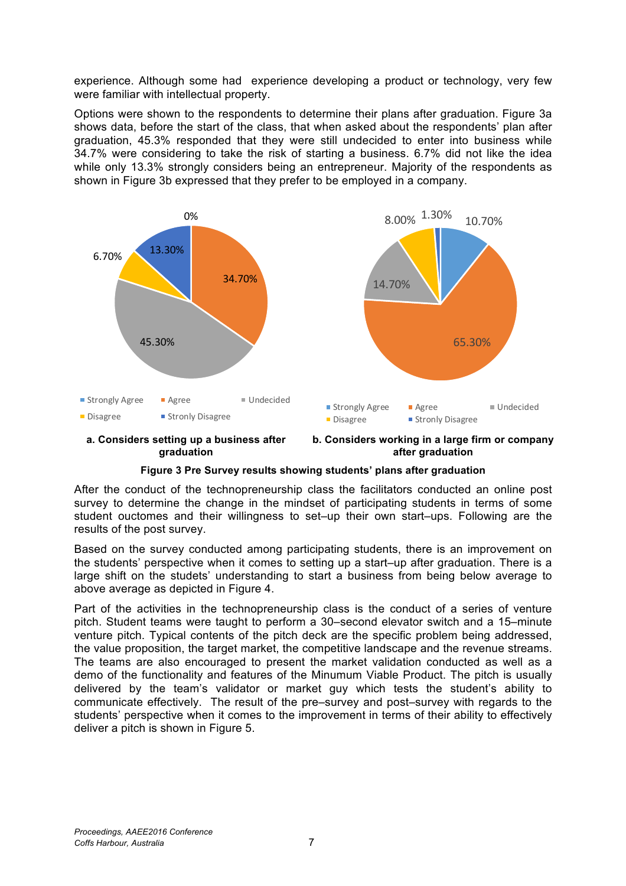experience. Although some had experience developing a product or technology, very few were familiar with intellectual property.

Options were shown to the respondents to determine their plans after graduation. Figure 3a shows data, before the start of the class, that when asked about the respondents' plan after graduation, 45.3% responded that they were still undecided to enter into business while 34.7% were considering to take the risk of starting a business. 6.7% did not like the idea while only 13.3% strongly considers being an entrepreneur. Majority of the respondents as shown in Figure 3b expressed that they prefer to be employed in a company.



**a. Considers setting up a business after graduation**

**b. Considers working in a large firm or company after graduation**

### **Figure 3 Pre Survey results showing students' plans after graduation**

After the conduct of the technopreneurship class the facilitators conducted an online post survey to determine the change in the mindset of participating students in terms of some student ouctomes and their willingness to set–up their own start–ups. Following are the results of the post survey.

Based on the survey conducted among participating students, there is an improvement on the students' perspective when it comes to setting up a start–up after graduation. There is a large shift on the studets' understanding to start a business from being below average to above average as depicted in Figure 4.

Part of the activities in the technopreneurship class is the conduct of a series of venture pitch. Student teams were taught to perform a 30–second elevator switch and a 15–minute venture pitch. Typical contents of the pitch deck are the specific problem being addressed, the value proposition, the target market, the competitive landscape and the revenue streams. The teams are also encouraged to present the market validation conducted as well as a demo of the functionality and features of the Minumum Viable Product. The pitch is usually delivered by the team's validator or market guy which tests the student's ability to communicate effectively. The result of the pre–survey and post–survey with regards to the students' perspective when it comes to the improvement in terms of their ability to effectively deliver a pitch is shown in Figure 5.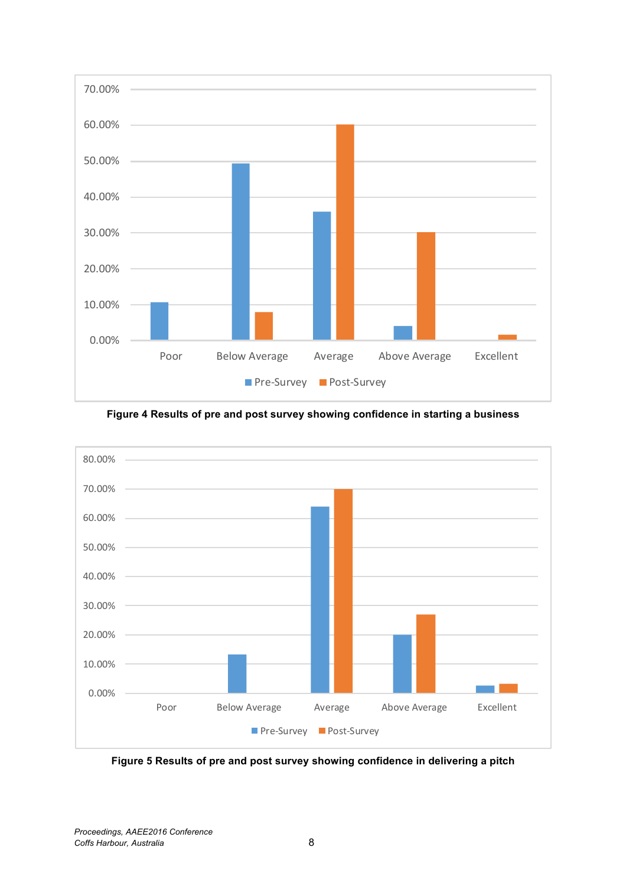

**Figure 4 Results of pre and post survey showing confidence in starting a business**



**Figure 5 Results of pre and post survey showing confidence in delivering a pitch**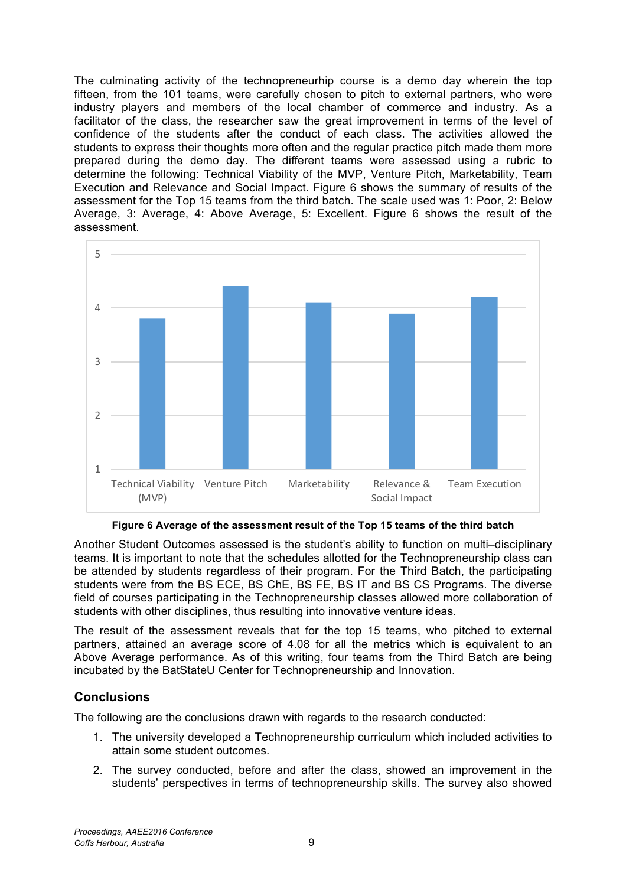The culminating activity of the technopreneurhip course is a demo day wherein the top fifteen, from the 101 teams, were carefully chosen to pitch to external partners, who were industry players and members of the local chamber of commerce and industry. As a facilitator of the class, the researcher saw the great improvement in terms of the level of confidence of the students after the conduct of each class. The activities allowed the students to express their thoughts more often and the regular practice pitch made them more prepared during the demo day. The different teams were assessed using a rubric to determine the following: Technical Viability of the MVP, Venture Pitch, Marketability, Team Execution and Relevance and Social Impact. Figure 6 shows the summary of results of the assessment for the Top 15 teams from the third batch. The scale used was 1: Poor, 2: Below Average, 3: Average, 4: Above Average, 5: Excellent. Figure 6 shows the result of the assessment.



**Figure 6 Average of the assessment result of the Top 15 teams of the third batch** 

Another Student Outcomes assessed is the student's ability to function on multi–disciplinary teams. It is important to note that the schedules allotted for the Technopreneurship class can be attended by students regardless of their program. For the Third Batch, the participating students were from the BS ECE, BS ChE, BS FE, BS IT and BS CS Programs. The diverse field of courses participating in the Technopreneurship classes allowed more collaboration of students with other disciplines, thus resulting into innovative venture ideas.

The result of the assessment reveals that for the top 15 teams, who pitched to external partners, attained an average score of 4.08 for all the metrics which is equivalent to an Above Average performance. As of this writing, four teams from the Third Batch are being incubated by the BatStateU Center for Technopreneurship and Innovation.

# **Conclusions**

The following are the conclusions drawn with regards to the research conducted:

- 1. The university developed a Technopreneurship curriculum which included activities to attain some student outcomes.
- 2. The survey conducted, before and after the class, showed an improvement in the students' perspectives in terms of technopreneurship skills. The survey also showed